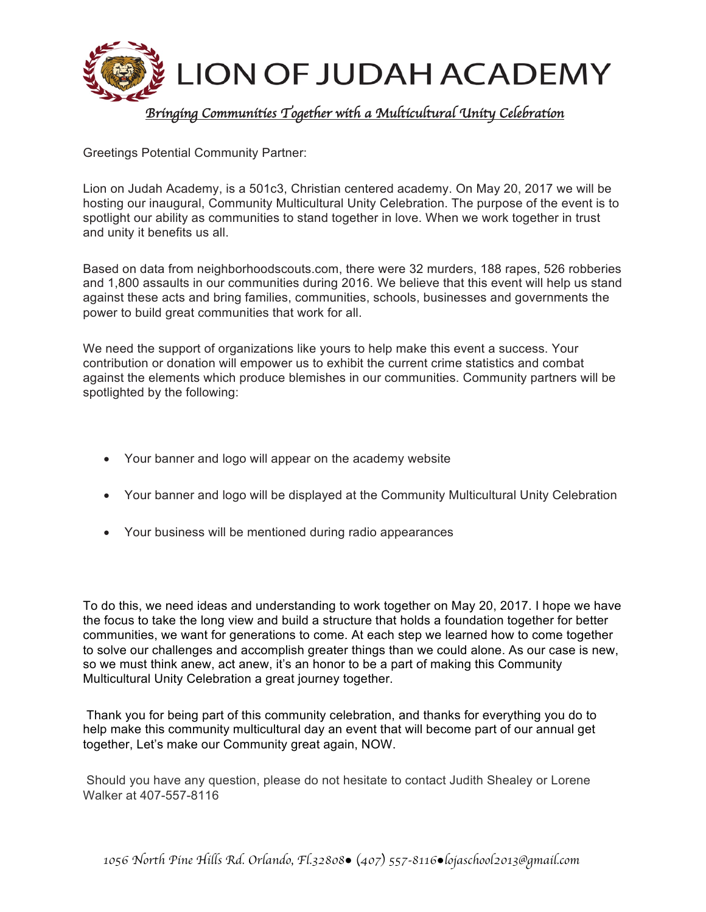

Greetings Potential Community Partner:

Lion on Judah Academy, is a 501c3, Christian centered academy. On May 20, 2017 we will be hosting our inaugural, Community Multicultural Unity Celebration. The purpose of the event is to spotlight our ability as communities to stand together in love. When we work together in trust and unity it benefits us all.

Based on data from neighborhoodscouts.com, there were 32 murders, 188 rapes, 526 robberies and 1,800 assaults in our communities during 2016. We believe that this event will help us stand against these acts and bring families, communities, schools, businesses and governments the power to build great communities that work for all.

We need the support of organizations like yours to help make this event a success. Your contribution or donation will empower us to exhibit the current crime statistics and combat against the elements which produce blemishes in our communities. Community partners will be spotlighted by the following:

- Your banner and logo will appear on the academy website
- Your banner and logo will be displayed at the Community Multicultural Unity Celebration
- Your business will be mentioned during radio appearances

To do this, we need ideas and understanding to work together on May 20, 2017. I hope we have the focus to take the long view and build a structure that holds a foundation together for better communities, we want for generations to come. At each step we learned how to come together to solve our challenges and accomplish greater things than we could alone. As our case is new, so we must think anew, act anew, it's an honor to be a part of making this Community Multicultural Unity Celebration a great journey together.

Thank you for being part of this community celebration, and thanks for everything you do to help make this community multicultural day an event that will become part of our annual get together, Let's make our Community great again, NOW.

Should you have any question, please do not hesitate to contact Judith Shealey or Lorene Walker at 407-557-8116